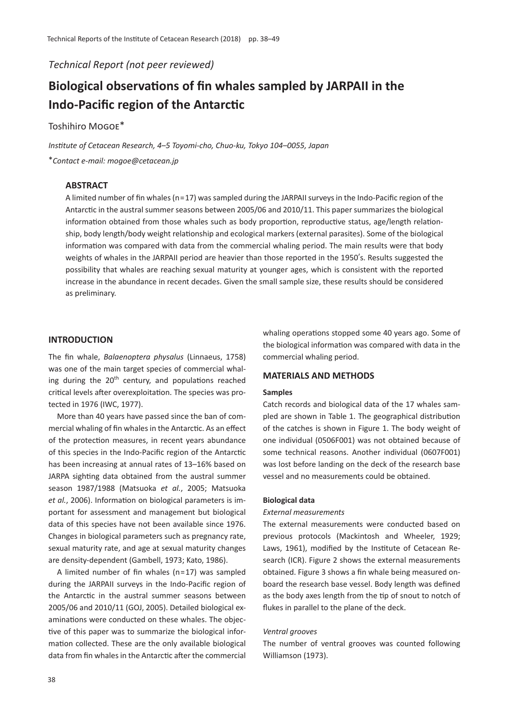*Technical Report (not peer reviewed)*

# **Biological observations of fin whales sampled by JARPAII in the Indo-Pacific region of the Antarctic**

# Toshihiro Mogoe\*

*Institute of Cetacean Research, 4*–*5 Toyomi-cho, Chuo-ku, Tokyo 104*–*0055, Japan* \**Contact e-mail: mogoe@cetacean.jp*

# **ABSTRACT**

A limited number of fin whales (n=17) was sampled during the JARPAII surveys in the Indo-Pacific region of the Antarctic in the austral summer seasons between 2005/06 and 2010/11. This paper summarizes the biological information obtained from those whales such as body proportion, reproductive status, age/length relationship, body length/body weight relationship and ecological markers (external parasites). Some of the biological information was compared with data from the commercial whaling period. The main results were that body weights of whales in the JARPAII period are heavier than those reported in the 1950's. Results suggested the possibility that whales are reaching sexual maturity at younger ages, which is consistent with the reported increase in the abundance in recent decades. Given the small sample size, these results should be considered as preliminary.

# **INTRODUCTION**

The fin whale, *Balaenoptera physalus* (Linnaeus, 1758) was one of the main target species of commercial whaling during the  $20<sup>th</sup>$  century, and populations reached critical levels after overexploitation. The species was protected in 1976 (IWC, 1977).

More than 40 years have passed since the ban of commercial whaling of fin whales in the Antarctic. As an effect of the protection measures, in recent years abundance of this species in the Indo-Pacific region of the Antarctic has been increasing at annual rates of 13–16% based on JARPA sighting data obtained from the austral summer season 1987/1988 (Matsuoka *et al.*, 2005; Matsuoka *et al.*, 2006). Information on biological parameters is important for assessment and management but biological data of this species have not been available since 1976. Changes in biological parameters such as pregnancy rate, sexual maturity rate, and age at sexual maturity changes are density-dependent (Gambell, 1973; Kato, 1986).

A limited number of fin whales (n=17) was sampled during the JARPAII surveys in the Indo-Pacific region of the Antarctic in the austral summer seasons between 2005/06 and 2010/11 (GOJ, 2005). Detailed biological examinations were conducted on these whales. The objective of this paper was to summarize the biological information collected. These are the only available biological data from fin whales in the Antarctic after the commercial whaling operations stopped some 40 years ago. Some of the biological information was compared with data in the commercial whaling period.

#### **MATERIALS AND METHODS**

## **Samples**

Catch records and biological data of the 17 whales sampled are shown in Table 1. The geographical distribution of the catches is shown in Figure 1. The body weight of one individual (0506F001) was not obtained because of some technical reasons. Another individual (0607F001) was lost before landing on the deck of the research base vessel and no measurements could be obtained.

### **Biological data**

## *External measurements*

The external measurements were conducted based on previous protocols (Mackintosh and Wheeler, 1929; Laws, 1961), modified by the Institute of Cetacean Research (ICR). Figure 2 shows the external measurements obtained. Figure 3 shows a fin whale being measured onboard the research base vessel. Body length was defined as the body axes length from the tip of snout to notch of flukes in parallel to the plane of the deck.

## *Ventral grooves*

The number of ventral grooves was counted following Williamson (1973).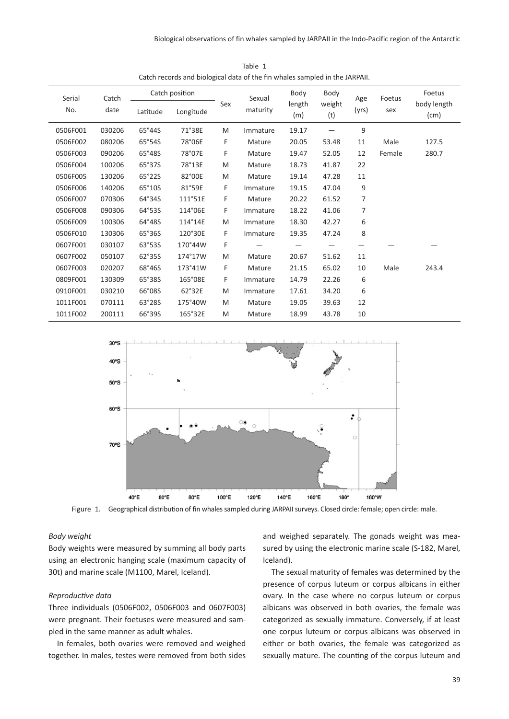| Serial<br>No. | Catch<br>date | Latitude | Catch position<br>Longitude | Sex | Sexual<br>maturity | Body<br>length<br>(m) | Body<br>weight<br>(t) | Age<br>(yrs) | Foetus<br>sex | Foetus<br>body length<br>(cm) |
|---------------|---------------|----------|-----------------------------|-----|--------------------|-----------------------|-----------------------|--------------|---------------|-------------------------------|
| 0506F001      | 030206        | 65°44S   | 71°38E                      | M   | Immature           | 19.17                 |                       | 9            |               |                               |
| 0506F002      | 080206        | 65°54S   | 78°06E                      | F   | Mature             | 20.05                 | 53.48                 | 11           | Male          | 127.5                         |
| 0506F003      | 090206        | 65°48S   | 78°07E                      | F   | Mature             | 19.47                 | 52.05                 | 12           | Female        | 280.7                         |
| 0506F004      | 100206        | 65°37S   | 78°13E                      | M   | Mature             | 18.73                 | 41.87                 | 22           |               |                               |
| 0506F005      | 130206        | 65°22S   | 82°00E                      | M   | Mature             | 19.14                 | 47.28                 | 11           |               |                               |
| 0506F006      | 140206        | 65°10S   | 81°59E                      | F   | Immature           | 19.15                 | 47.04                 | 9            |               |                               |
| 0506F007      | 070306        | 64°34S   | 111°51E                     | F   | Mature             | 20.22                 | 61.52                 | 7            |               |                               |
| 0506F008      | 090306        | 64°53S   | 114°06E                     | F   | Immature           | 18.22                 | 41.06                 | 7            |               |                               |
| 0506F009      | 100306        | 64°48S   | 114°14E                     | M   | Immature           | 18.30                 | 42.27                 | 6            |               |                               |
| 0506F010      | 130306        | 65°36S   | 120°30E                     | F   | Immature           | 19.35                 | 47.24                 | 8            |               |                               |
| 0607F001      | 030107        | 63°53S   | 170°44W                     | F   |                    |                       |                       |              |               |                               |
| 0607F002      | 050107        | 62°35S   | 174°17W                     | M   | Mature             | 20.67                 | 51.62                 | 11           |               |                               |
| 0607F003      | 020207        | 68°46S   | 173°41W                     | F   | Mature             | 21.15                 | 65.02                 | 10           | Male          | 243.4                         |
| 0809F001      | 130309        | 65°38S   | 165°08E                     | F   | Immature           | 14.79                 | 22.26                 | 6            |               |                               |
| 0910F001      | 030210        | 66°08S   | 62°32E                      | M   | Immature           | 17.61                 | 34.20                 | 6            |               |                               |
| 1011F001      | 070111        | 63°28S   | 175°40W                     | M   | Mature             | 19.05                 | 39.63                 | 12           |               |                               |
| 1011F002      | 200111        | 66°39S   | 165°32E                     | M   | Mature             | 18.99                 | 43.78                 | 10           |               |                               |

Table 1 Catch records and biological data of the fin whales sampled in the JARPAII.



Figure 1. Geographical distribution of fin whales sampled during JARPAII surveys. Closed circle: female; open circle: male.

#### *Body weight*

Body weights were measured by summing all body parts using an electronic hanging scale (maximum capacity of 30t) and marine scale (M1100, Marel, Iceland).

#### *Reproductive data*

Three individuals (0506F002, 0506F003 and 0607F003) were pregnant. Their foetuses were measured and sampled in the same manner as adult whales.

In females, both ovaries were removed and weighed together. In males, testes were removed from both sides and weighed separately. The gonads weight was measured by using the electronic marine scale (S-182, Marel, Iceland).

The sexual maturity of females was determined by the presence of corpus luteum or corpus albicans in either ovary. In the case where no corpus luteum or corpus albicans was observed in both ovaries, the female was categorized as sexually immature. Conversely, if at least one corpus luteum or corpus albicans was observed in either or both ovaries, the female was categorized as sexually mature. The counting of the corpus luteum and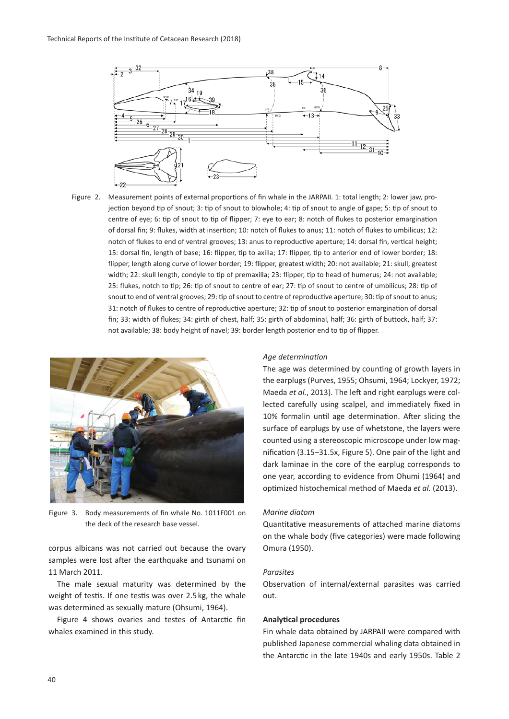

Figure 2. Measurement points of external proportions of fin whale in the JARPAII. 1: total length; 2: lower jaw, projection beyond tip of snout; 3: tip of snout to blowhole; 4: tip of snout to angle of gape; 5: tip of snout to centre of eye; 6: tip of snout to tip of flipper; 7: eye to ear; 8: notch of flukes to posterior emargination of dorsal fin; 9: flukes, width at insertion; 10: notch of flukes to anus; 11: notch of flukes to umbilicus; 12: notch of flukes to end of ventral grooves; 13: anus to reproductive aperture; 14: dorsal fin, vertical height; 15: dorsal fin, length of base; 16: flipper, tip to axilla; 17: flipper, tip to anterior end of lower border; 18: flipper, length along curve of lower border; 19: flipper, greatest width; 20: not available; 21: skull, greatest width; 22: skull length, condyle to tip of premaxilla; 23: flipper, tip to head of humerus; 24: not available; 25: flukes, notch to tip; 26: tip of snout to centre of ear; 27: tip of snout to centre of umbilicus; 28: tip of snout to end of ventral grooves; 29: tip of snout to centre of reproductive aperture; 30: tip of snout to anus; 31: notch of flukes to centre of reproductive aperture; 32: tip of snout to posterior emargination of dorsal fin; 33: width of flukes; 34: girth of chest, half; 35: girth of abdominal, half; 36: girth of buttock, half; 37: not available; 38: body height of navel; 39: border length posterior end to tip of flipper.



Figure 3. Body measurements of fin whale No. 1011F001 on the deck of the research base vessel.

corpus albicans was not carried out because the ovary samples were lost after the earthquake and tsunami on 11 March 2011.

The male sexual maturity was determined by the weight of testis. If one testis was over 2.5 kg, the whale was determined as sexually mature (Ohsumi, 1964).

Figure 4 shows ovaries and testes of Antarctic fin whales examined in this study.

#### *Age determination*

The age was determined by counting of growth layers in the earplugs (Purves, 1955; Ohsumi, 1964; Lockyer, 1972; Maeda *et al.*, 2013). The left and right earplugs were collected carefully using scalpel, and immediately fixed in 10% formalin until age determination. After slicing the surface of earplugs by use of whetstone, the layers were counted using a stereoscopic microscope under low magnification (3.15–31.5x, Figure 5). One pair of the light and dark laminae in the core of the earplug corresponds to one year, according to evidence from Ohumi (1964) and optimized histochemical method of Maeda *et al.* (2013).

#### *Marine diatom*

Quantitative measurements of attached marine diatoms on the whale body (five categories) were made following Omura (1950).

#### *Parasites*

Observation of internal/external parasites was carried out.

# **Analytical procedures**

Fin whale data obtained by JARPAII were compared with published Japanese commercial whaling data obtained in the Antarctic in the late 1940s and early 1950s. Table 2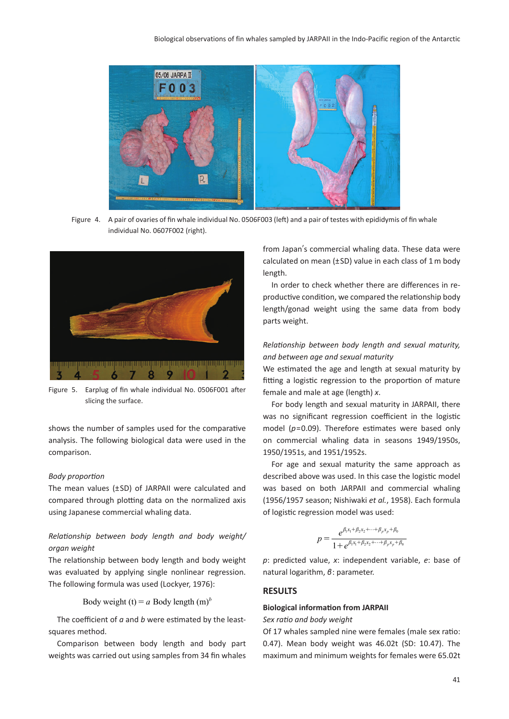

Figure 4. A pair of ovaries of fin whale individual No. 0506F003 (left) and a pair of testes with epididymis of fin whale individual No. 0607F002 (right).



Figure 5. Earplug of fin whale individual No. 0506F001 after slicing the surface.

shows the number of samples used for the comparative analysis. The following biological data were used in the comparison.

#### *Body proportion*

The mean values (±SD) of JARPAII were calculated and compared through plotting data on the normalized axis using Japanese commercial whaling data.

# *Relationship between body length and body weight/ organ weight*

The relationship between body length and body weight was evaluated by applying single nonlinear regression. The following formula was used (Lockyer, 1976):

Body weight (t) =  $a$  Body length (m)<sup> $b$ </sup>

The coefficient of *a* and *b* were estimated by the leastsquares method.

Comparison between body length and body part weights was carried out using samples from 34 fin whales from Japan's commercial whaling data. These data were calculated on mean  $(\pm SD)$  value in each class of 1 m body length.

In order to check whether there are differences in reproductive condition, we compared the relationship body length/gonad weight using the same data from body parts weight.

# *Relationship between body length and sexual maturity, and between age and sexual maturity*

We estimated the age and length at sexual maturity by fitting a logistic regression to the proportion of mature female and male at age (length) *x*.

For body length and sexual maturity in JARPAII, there was no significant regression coefficient in the logistic model (*p*=0.09). Therefore estimates were based only on commercial whaling data in seasons 1949/1950s, 1950/1951s, and 1951/1952s.

For age and sexual maturity the same approach as described above was used. In this case the logistic model was based on both JARPAII and commercial whaling (1956/1957 season; Nishiwaki *et al.*, 1958). Each formula of logistic regression model was used:

$$
p = \frac{e^{\beta_1 x_1 + \beta_2 x_2 + \dots + \beta_p x_p + \beta_0}}{1 + e^{\beta_1 x_1 + \beta_2 x_2 + \dots + \beta_p x_p + \beta_0}}
$$

*p*: predicted value, *x*: independent variable, *e*: base of natural logarithm, *β*: parameter.

## **RESULTS**

## **Biological information from JARPAII**

*Sex ratio and body weight*

Of 17 whales sampled nine were females (male sex ratio: 0.47). Mean body weight was 46.02t (SD: 10.47). The maximum and minimum weights for females were 65.02t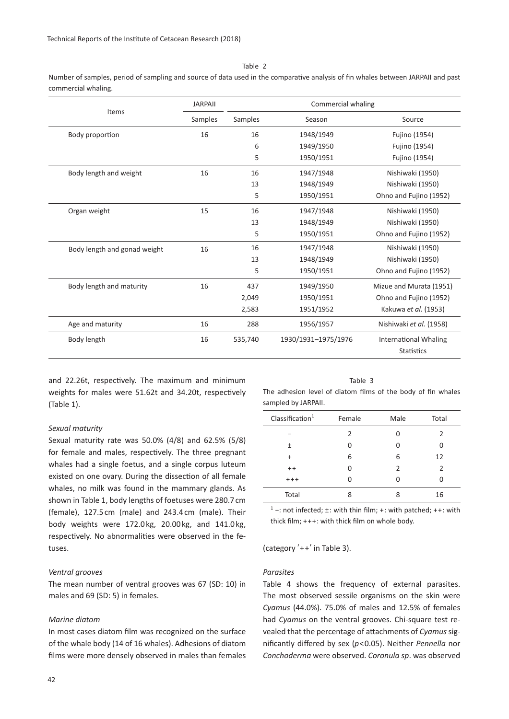Table 2

Number of samples, period of sampling and source of data used in the comparative analysis of fin whales between JARPAII and past commercial whaling.

|                              | <b>JARPAII</b> | Commercial whaling |                     |                              |  |  |  |
|------------------------------|----------------|--------------------|---------------------|------------------------------|--|--|--|
| Items                        | Samples        | Samples            | Season              | Source                       |  |  |  |
| Body proportion              | 16             | 16                 | 1948/1949           | Fujino (1954)                |  |  |  |
|                              |                | 6                  | 1949/1950           | Fujino (1954)                |  |  |  |
|                              |                | 5                  | 1950/1951           | Fujino (1954)                |  |  |  |
| Body length and weight       | 16             | 16                 | 1947/1948           | Nishiwaki (1950)             |  |  |  |
|                              |                | 13                 | 1948/1949           | Nishiwaki (1950)             |  |  |  |
|                              |                | 5                  | 1950/1951           | Ohno and Fujino (1952)       |  |  |  |
| Organ weight                 | 15             | 16                 | 1947/1948           | Nishiwaki (1950)             |  |  |  |
|                              |                | 13                 | 1948/1949           | Nishiwaki (1950)             |  |  |  |
|                              |                | 5                  | 1950/1951           | Ohno and Fujino (1952)       |  |  |  |
| Body length and gonad weight | 16             | 16                 | 1947/1948           | Nishiwaki (1950)             |  |  |  |
|                              |                | 13                 | 1948/1949           | Nishiwaki (1950)             |  |  |  |
|                              |                | 5                  | 1950/1951           | Ohno and Fujino (1952)       |  |  |  |
| Body length and maturity     | 16             | 437                | 1949/1950           | Mizue and Murata (1951)      |  |  |  |
|                              |                | 2,049              | 1950/1951           | Ohno and Fujino (1952)       |  |  |  |
|                              |                | 2,583              | 1951/1952           | Kakuwa et al. (1953)         |  |  |  |
| Age and maturity             | 16             | 288                | 1956/1957           | Nishiwaki et al. (1958)      |  |  |  |
| Body length                  | 16             | 535,740            | 1930/1931-1975/1976 | <b>International Whaling</b> |  |  |  |
|                              |                |                    |                     | <b>Statistics</b>            |  |  |  |

and 22.26t, respectively. The maximum and minimum weights for males were 51.62t and 34.20t, respectively (Table 1).

#### *Sexual maturity*

Sexual maturity rate was 50.0% (4/8) and 62.5% (5/8) for female and males, respectively. The three pregnant whales had a single foetus, and a single corpus luteum existed on one ovary. During the dissection of all female whales, no milk was found in the mammary glands. As shown in Table 1, body lengths of foetuses were 280.7 cm (female), 127.5 cm (male) and 243.4 cm (male). Their body weights were 172.0 kg, 20.00 kg, and 141.0 kg, respectively. No abnormalities were observed in the fetuses.

#### *Ventral grooves*

The mean number of ventral grooves was 67 (SD: 10) in males and 69 (SD: 5) in females.

## *Marine diatom*

In most cases diatom film was recognized on the surface of the whale body (14 of 16 whales). Adhesions of diatom films were more densely observed in males than females

Table 3

The adhesion level of diatom films of the body of fin whales sampled by JARPAII.

| Classification <sup>1</sup> | Female        | Male           | Total |
|-----------------------------|---------------|----------------|-------|
|                             | $\mathcal{P}$ | U              | 2     |
| 土                           | U             | U              | 0     |
| $\ddot{}$                   | 6             | 6              | 12    |
| $++$                        | U             | $\mathfrak{p}$ | 2     |
| $^{+ + +}$                  | O             | U              | O     |
| Total                       | 8             | 8              | 16    |

 $1 -$ : not infected;  $\pm$ : with thin film; +: with patched; ++: with thick film; +++: with thick film on whole body.

(category ʻ++' in Table 3).

#### *Parasites*

Table 4 shows the frequency of external parasites. The most observed sessile organisms on the skin were *Cyamus* (44.0%). 75.0% of males and 12.5% of females had *Cyamus* on the ventral grooves. Chi-square test revealed that the percentage of attachments of *Cyamus* significantly differed by sex (*p*<0.05). Neither *Pennella* nor *Conchoderma* were observed. *Coronula sp*. was observed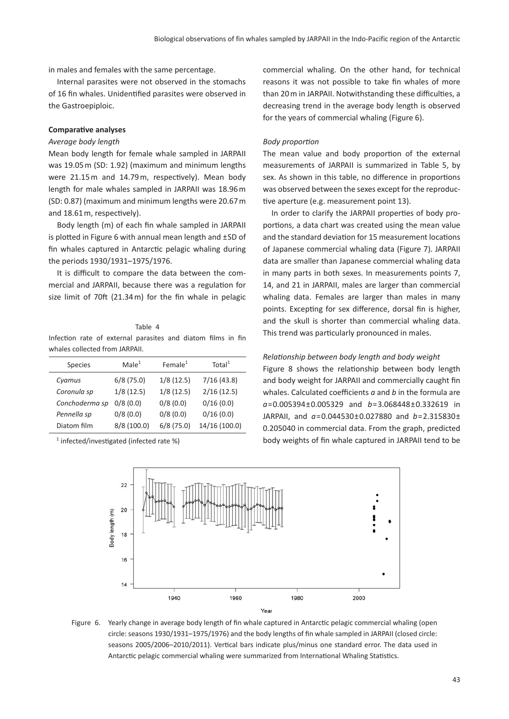in males and females with the same percentage.

Internal parasites were not observed in the stomachs of 16 fin whales. Unidentified parasites were observed in the Gastroepiploic.

# **Comparative analyses**

#### *Average body length*

Mean body length for female whale sampled in JARPAII was 19.05 m (SD: 1.92) (maximum and minimum lengths were 21.15 m and 14.79 m, respectively). Mean body length for male whales sampled in JARPAII was 18.96 m (SD: 0.87) (maximum and minimum lengths were 20.67 m and 18.61 m, respectively).

Body length (m) of each fin whale sampled in JARPAII is plotted in Figure 6 with annual mean length and ±SD of fin whales captured in Antarctic pelagic whaling during the periods 1930/1931–1975/1976.

It is difficult to compare the data between the commercial and JARPAII, because there was a regulation for size limit of 70ft (21.34 m) for the fin whale in pelagic

#### Table 4

Infection rate of external parasites and diatom films in fin whales collected from JARPAII.

| <b>Species</b> | Male <sup>1</sup> | Female $1$ | Total <sup>1</sup> |
|----------------|-------------------|------------|--------------------|
| Cyamus         | 6/8(75.0)         | 1/8(12.5)  | 7/16(43.8)         |
| Coronula sp    | 1/8(12.5)         | 1/8(12.5)  | 2/16(12.5)         |
| Conchoderma sp | 0/8(0.0)          | 0/8(0.0)   | 0/16(0.0)          |
| Pennella sp    | 0/8(0.0)          | 0/8(0.0)   | 0/16(0.0)          |
| Diatom film    | 8/8 (100.0)       | 6/8(75.0)  | 14/16 (100.0)      |

1 infected/investigated (infected rate %)

commercial whaling. On the other hand, for technical reasons it was not possible to take fin whales of more than 20 m in JARPAII. Notwithstanding these difficulties, a decreasing trend in the average body length is observed for the years of commercial whaling (Figure 6).

## *Body proportion*

The mean value and body proportion of the external measurements of JARPAII is summarized in Table 5, by sex. As shown in this table, no difference in proportions was observed between the sexes except for the reproductive aperture (e.g. measurement point 13).

In order to clarify the JARPAII properties of body proportions, a data chart was created using the mean value and the standard deviation for 15 measurement locations of Japanese commercial whaling data (Figure 7). JARPAII data are smaller than Japanese commercial whaling data in many parts in both sexes. In measurements points 7, 14, and 21 in JARPAII, males are larger than commercial whaling data. Females are larger than males in many points. Excepting for sex difference, dorsal fin is higher, and the skull is shorter than commercial whaling data. This trend was particularly pronounced in males.

#### *Relationship between body length and body weight*

Figure 8 shows the relationship between body length and body weight for JARPAII and commercially caught fin whales. Calculated coefficients *a* and *b* in the formula are *a*=0.005394±0.005329 and *b*=3.068448±0.332619 in JARPAII, and *a*=0.044530±0.027880 and *b*=2.315830± 0.205040 in commercial data. From the graph, predicted body weights of fin whale captured in JARPAII tend to be



Figure 6. Yearly change in average body length of fin whale captured in Antarctic pelagic commercial whaling (open circle: seasons 1930/1931–1975/1976) and the body lengths of fin whale sampled in JARPAII (closed circle: seasons 2005/2006–2010/2011). Vertical bars indicate plus/minus one standard error. The data used in Antarctic pelagic commercial whaling were summarized from International Whaling Statistics.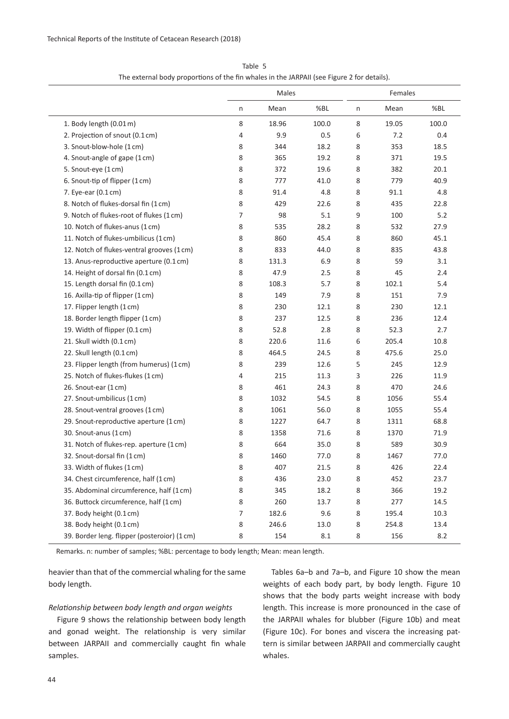|                                             | Males |       |       | Females |       |       |
|---------------------------------------------|-------|-------|-------|---------|-------|-------|
|                                             | n     | Mean  | %BL   | n       | Mean  | %BL   |
| 1. Body length (0.01 m)                     | 8     | 18.96 | 100.0 | 8       | 19.05 | 100.0 |
| 2. Projection of snout (0.1 cm)             | 4     | 9.9   | 0.5   | 6       | 7.2   | 0.4   |
| 3. Snout-blow-hole (1 cm)                   | 8     | 344   | 18.2  | 8       | 353   | 18.5  |
| 4. Snout-angle of gape (1cm)                | 8     | 365   | 19.2  | 8       | 371   | 19.5  |
| 5. Snout-eye (1cm)                          | 8     | 372   | 19.6  | 8       | 382   | 20.1  |
| 6. Snout-tip of flipper (1cm)               | 8     | 777   | 41.0  | 8       | 779   | 40.9  |
| 7. Eye-ear (0.1 cm)                         | 8     | 91.4  | 4.8   | 8       | 91.1  | 4.8   |
| 8. Notch of flukes-dorsal fin (1 cm)        | 8     | 429   | 22.6  | 8       | 435   | 22.8  |
| 9. Notch of flukes-root of flukes (1 cm)    | 7     | 98    | 5.1   | 9       | 100   | 5.2   |
| 10. Notch of flukes-anus (1 cm)             | 8     | 535   | 28.2  | 8       | 532   | 27.9  |
| 11. Notch of flukes-umbilicus (1 cm)        | 8     | 860   | 45.4  | 8       | 860   | 45.1  |
| 12. Notch of flukes-ventral grooves (1cm)   | 8     | 833   | 44.0  | 8       | 835   | 43.8  |
| 13. Anus-reproductive aperture (0.1 cm)     | 8     | 131.3 | 6.9   | 8       | 59    | 3.1   |
| 14. Height of dorsal fin (0.1 cm)           | 8     | 47.9  | 2.5   | 8       | 45    | 2.4   |
| 15. Length dorsal fin (0.1 cm)              | 8     | 108.3 | 5.7   | 8       | 102.1 | 5.4   |
| 16. Axilla-tip of flipper (1cm)             | 8     | 149   | 7.9   | 8       | 151   | 7.9   |
| 17. Flipper length (1cm)                    | 8     | 230   | 12.1  | 8       | 230   | 12.1  |
| 18. Border length flipper (1cm)             | 8     | 237   | 12.5  | 8       | 236   | 12.4  |
| 19. Width of flipper (0.1 cm)               | 8     | 52.8  | 2.8   | 8       | 52.3  | 2.7   |
| 21. Skull width (0.1 cm)                    | 8     | 220.6 | 11.6  | 6       | 205.4 | 10.8  |
| 22. Skull length (0.1 cm)                   | 8     | 464.5 | 24.5  | 8       | 475.6 | 25.0  |
| 23. Flipper length (from humerus) (1cm)     | 8     | 239   | 12.6  | 5       | 245   | 12.9  |
| 25. Notch of flukes-flukes (1cm)            | 4     | 215   | 11.3  | 3       | 226   | 11.9  |
| 26. Snout-ear (1cm)                         | 8     | 461   | 24.3  | 8       | 470   | 24.6  |
| 27. Snout-umbilicus (1cm)                   | 8     | 1032  | 54.5  | 8       | 1056  | 55.4  |
| 28. Snout-ventral grooves (1 cm)            | 8     | 1061  | 56.0  | 8       | 1055  | 55.4  |
| 29. Snout-reproductive aperture (1 cm)      | 8     | 1227  | 64.7  | 8       | 1311  | 68.8  |
| 30. Snout-anus (1 cm)                       | 8     | 1358  | 71.6  | 8       | 1370  | 71.9  |
| 31. Notch of flukes-rep. aperture (1cm)     | 8     | 664   | 35.0  | 8       | 589   | 30.9  |
| 32. Snout-dorsal fin (1 cm)                 | 8     | 1460  | 77.0  | 8       | 1467  | 77.0  |
| 33. Width of flukes (1cm)                   | 8     | 407   | 21.5  | 8       | 426   | 22.4  |
| 34. Chest circumference, half (1cm)         | 8     | 436   | 23.0  | 8       | 452   | 23.7  |
| 35. Abdominal circumference, half (1 cm)    | 8     | 345   | 18.2  | 8       | 366   | 19.2  |
| 36. Buttock circumference, half (1 cm)      | 8     | 260   | 13.7  | 8       | 277   | 14.5  |
| 37. Body height (0.1 cm)                    | 7     | 182.6 | 9.6   | 8       | 195.4 | 10.3  |
| 38. Body height (0.1 cm)                    | 8     | 246.6 | 13.0  | 8       | 254.8 | 13.4  |
| 39. Border leng. flipper (posteroior) (1cm) | 8     | 154   | 8.1   | 8       | 156   | 8.2   |

Table 5 The external body proportions of the fin whales in the JARPAII (see Figure 2 for details).

Remarks. n: number of samples; %BL: percentage to body length; Mean: mean length.

heavier than that of the commercial whaling for the same body length.

#### *Relationship between body length and organ weights*

Figure 9 shows the relationship between body length and gonad weight. The relationship is very similar between JARPAII and commercially caught fin whale samples.

Tables 6a–b and 7a–b, and Figure 10 show the mean weights of each body part, by body length. Figure 10 shows that the body parts weight increase with body length. This increase is more pronounced in the case of the JARPAII whales for blubber (Figure 10b) and meat (Figure 10c). For bones and viscera the increasing pattern is similar between JARPAII and commercially caught whales.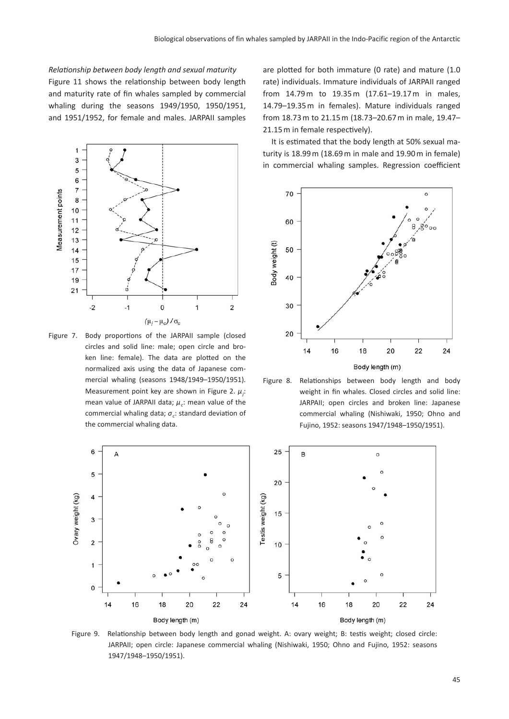*Relationship between body length and sexual maturity* Figure 11 shows the relationship between body length and maturity rate of fin whales sampled by commercial whaling during the seasons 1949/1950, 1950/1951, and 1951/1952, for female and males. JARPAII samples



Figure 7. Body proportions of the JARPAII sample (closed circles and solid line: male; open circle and broken line: female). The data are plotted on the normalized axis using the data of Japanese commercial whaling (seasons 1948/1949–1950/1951). Measurement point key are shown in Figure 2.  $\mu_j$ : mean value of JARPAII data; *μc*: mean value of the commercial whaling data; *σc*: standard deviation of the commercial whaling data.

are plotted for both immature (0 rate) and mature (1.0 rate) individuals. Immature individuals of JARPAII ranged from 14.79 m to 19.35 m (17.61–19.17 m in males, 14.79–19.35 m in females). Mature individuals ranged from 18.73 m to 21.15 m (18.73–20.67 m in male, 19.47– 21.15 m in female respectively).

It is estimated that the body length at 50% sexual maturity is 18.99 m (18.69 m in male and 19.90 m in female) in commercial whaling samples. Regression coefficient



Figure 8. Relationships between body length and body weight in fin whales. Closed circles and solid line: JARPAII; open circles and broken line: Japanese commercial whaling (Nishiwaki, 1950; Ohno and Fujino, 1952: seasons 1947/1948–1950/1951).



Figure 9. Relationship between body length and gonad weight. A: ovary weight; B: testis weight; closed circle: JARPAII; open circle: Japanese commercial whaling (Nishiwaki, 1950; Ohno and Fujino, 1952: seasons 1947/1948–1950/1951).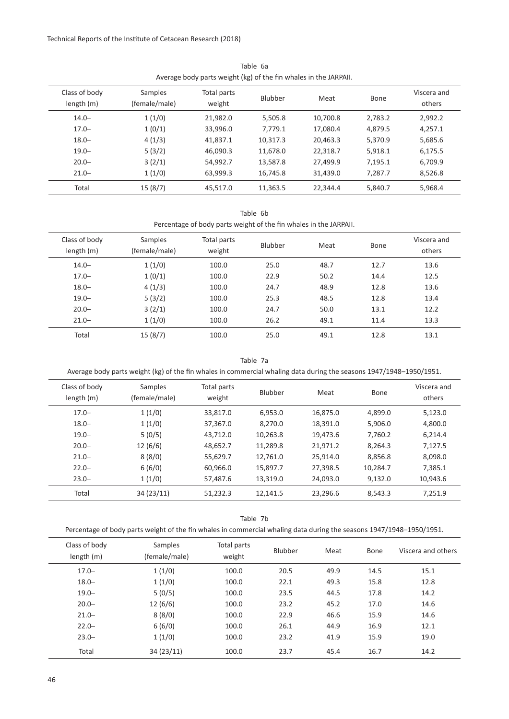|                             | AVEIDSE DUUY DOLLS WEISHLING) OF LIIE IIII WHOIES III LIIE JAIN AII. |                       |          |          |         |                       |  |  |  |
|-----------------------------|----------------------------------------------------------------------|-----------------------|----------|----------|---------|-----------------------|--|--|--|
| Class of body<br>length (m) | Samples<br>(female/male)                                             | Total parts<br>weight | Blubber  | Meat     | Bone    | Viscera and<br>others |  |  |  |
| $14.0 -$                    | 1(1/0)                                                               | 21,982.0              | 5,505.8  | 10,700.8 | 2,783.2 | 2,992.2               |  |  |  |
| $17.0 -$                    | 1(0/1)                                                               | 33,996.0              | 7,779.1  | 17,080.4 | 4,879.5 | 4,257.1               |  |  |  |
| $18.0 -$                    | 4(1/3)                                                               | 41,837.1              | 10,317.3 | 20,463.3 | 5,370.9 | 5,685.6               |  |  |  |
| $19.0 -$                    | 5(3/2)                                                               | 46,090.3              | 11,678.0 | 22,318.7 | 5.918.1 | 6,175.5               |  |  |  |
| $20.0 -$                    | 3(2/1)                                                               | 54,992.7              | 13,587.8 | 27,499.9 | 7,195.1 | 6,709.9               |  |  |  |
| $21.0 -$                    | 1(1/0)                                                               | 63,999.3              | 16,745.8 | 31,439.0 | 7,287.7 | 8,526.8               |  |  |  |
| Total                       | 15(8/7)                                                              | 45,517.0              | 11,363.5 | 22,344.4 | 5,840.7 | 5,968.4               |  |  |  |

Table 6a Average body parts weight (kg) of the fin whales in the JARPAII.

Table 6b

Percentage of body parts weight of the fin whales in the JARPAII.

| Class of body<br>length (m) | Samples<br>(female/male) | Total parts<br>weight | Blubber | Meat | Bone | Viscera and<br>others |
|-----------------------------|--------------------------|-----------------------|---------|------|------|-----------------------|
| $14.0 -$                    | 1(1/0)                   | 100.0                 | 25.0    | 48.7 | 12.7 | 13.6                  |
| $17.0 -$                    | 1(0/1)                   | 100.0                 | 22.9    | 50.2 | 14.4 | 12.5                  |
| $18.0 -$                    | 4(1/3)                   | 100.0                 | 24.7    | 48.9 | 12.8 | 13.6                  |
| $19.0 -$                    | 5(3/2)                   | 100.0                 | 25.3    | 48.5 | 12.8 | 13.4                  |
| $20.0 -$                    | 3(2/1)                   | 100.0                 | 24.7    | 50.0 | 13.1 | 12.2                  |
| $21.0 -$                    | 1(1/0)                   | 100.0                 | 26.2    | 49.1 | 11.4 | 13.3                  |
| Total                       | 15(8/7)                  | 100.0                 | 25.0    | 49.1 | 12.8 | 13.1                  |

Table 7a

Average body parts weight (kg) of the fin whales in commercial whaling data during the seasons 1947/1948–1950/1951.

| Class of body<br>length (m) | Samples<br>(female/male) | Total parts<br>weight | Blubber  | Meat     | Bone     | Viscera and<br>others |
|-----------------------------|--------------------------|-----------------------|----------|----------|----------|-----------------------|
| $17.0 -$                    | 1(1/0)                   | 33.817.0              | 6,953.0  | 16,875.0 | 4,899.0  | 5,123.0               |
| $18.0 -$                    | 1(1/0)                   | 37,367.0              | 8.270.0  | 18,391.0 | 5,906.0  | 4.800.0               |
| $19.0 -$                    | 5(0/5)                   | 43.712.0              | 10,263.8 | 19.473.6 | 7.760.2  | 6.214.4               |
| $20.0 -$                    | 12(6/6)                  | 48,652.7              | 11,289.8 | 21.971.2 | 8.264.3  | 7.127.5               |
| $21.0 -$                    | 8(8/0)                   | 55,629.7              | 12.761.0 | 25.914.0 | 8.856.8  | 8.098.0               |
| $22.0 -$                    | 6(6/0)                   | 60,966.0              | 15,897.7 | 27,398.5 | 10.284.7 | 7.385.1               |
| $23.0 -$                    | 1(1/0)                   | 57,487.6              | 13,319.0 | 24,093.0 | 9.132.0  | 10,943.6              |
| Total                       | 34 (23/11)               | 51,232.3              | 12,141.5 | 23,296.6 | 8.543.3  | 7,251.9               |

Table 7b

| Class of body<br>length(m) | Samples<br>(female/male) | Total parts<br>weight | Blubber | Meat | Bone | Viscera and others |
|----------------------------|--------------------------|-----------------------|---------|------|------|--------------------|
| $17.0 -$                   | 1(1/0)                   | 100.0                 | 20.5    | 49.9 | 14.5 | 15.1               |
| $18.0 -$                   | 1(1/0)                   | 100.0                 | 22.1    | 49.3 | 15.8 | 12.8               |
| $19.0 -$                   | 5(0/5)                   | 100.0                 | 23.5    | 44.5 | 17.8 | 14.2               |
| $20.0 -$                   | 12(6/6)                  | 100.0                 | 23.2    | 45.2 | 17.0 | 14.6               |
| $21.0 -$                   | 8(8/0)                   | 100.0                 | 22.9    | 46.6 | 15.9 | 14.6               |
| $22.0 -$                   | 6(6/0)                   | 100.0                 | 26.1    | 44.9 | 16.9 | 12.1               |
| $23.0 -$                   | 1(1/0)                   | 100.0                 | 23.2    | 41.9 | 15.9 | 19.0               |
| Total                      | 34(23/11)                | 100.0                 | 23.7    | 45.4 | 16.7 | 14.2               |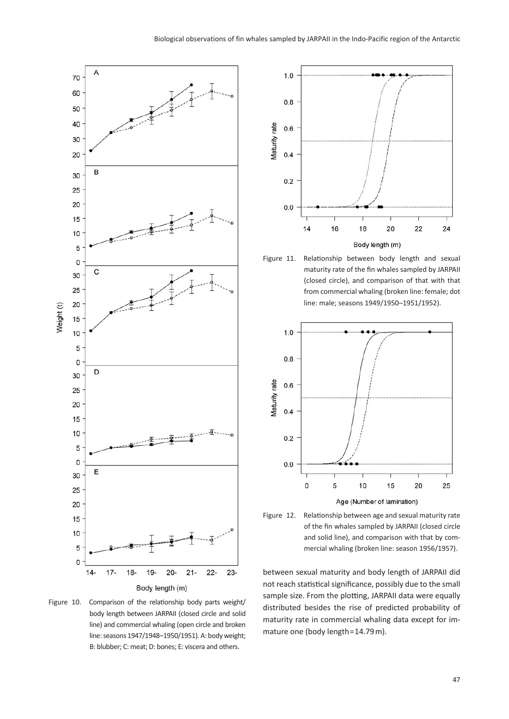

Figure 10. Comparison of the relationship body parts weight/ body length between JARPAII (closed circle and solid line) and commercial whaling (open circle and broken line: seasons 1947/1948–1950/1951). A: body weight; B: blubber; C: meat; D: bones; E: viscera and others.



Figure 11. Relationship between body length and sexual maturity rate of the fin whales sampled by JARPAII (closed circle), and comparison of that with that from commercial whaling (broken line: female; dot line: male; seasons 1949/1950–1951/1952).





between sexual maturity and body length of JARPAII did not reach statistical significance, possibly due to the small sample size. From the plotting, JARPAII data were equally distributed besides the rise of predicted probability of maturity rate in commercial whaling data except for immature one (body length=14.79 m).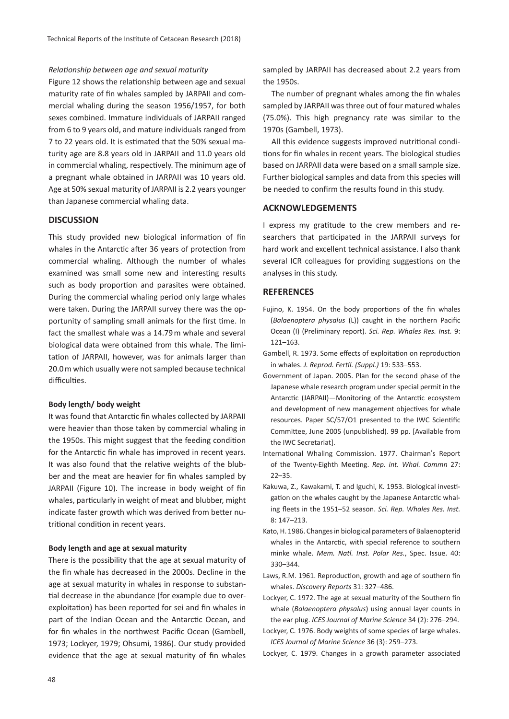# *Relationship between age and sexual maturity*

Figure 12 shows the relationship between age and sexual maturity rate of fin whales sampled by JARPAII and commercial whaling during the season 1956/1957, for both sexes combined. Immature individuals of JARPAII ranged from 6 to 9 years old, and mature individuals ranged from 7 to 22 years old. It is estimated that the 50% sexual maturity age are 8.8 years old in JARPAII and 11.0 years old in commercial whaling, respectively. The minimum age of a pregnant whale obtained in JARPAII was 10 years old. Age at 50% sexual maturity of JARPAII is 2.2 years younger than Japanese commercial whaling data.

# **DISCUSSION**

This study provided new biological information of fin whales in the Antarctic after 36 years of protection from commercial whaling. Although the number of whales examined was small some new and interesting results such as body proportion and parasites were obtained. During the commercial whaling period only large whales were taken. During the JARPAII survey there was the opportunity of sampling small animals for the first time. In fact the smallest whale was a 14.79 m whale and several biological data were obtained from this whale. The limitation of JARPAII, however, was for animals larger than 20.0 m which usually were not sampled because technical difficulties.

#### **Body length/ body weight**

It was found that Antarctic fin whales collected by JARPAII were heavier than those taken by commercial whaling in the 1950s. This might suggest that the feeding condition for the Antarctic fin whale has improved in recent years. It was also found that the relative weights of the blubber and the meat are heavier for fin whales sampled by JARPAII (Figure 10). The increase in body weight of fin whales, particularly in weight of meat and blubber, might indicate faster growth which was derived from better nutritional condition in recent years.

### **Body length and age at sexual maturity**

There is the possibility that the age at sexual maturity of the fin whale has decreased in the 2000s. Decline in the age at sexual maturity in whales in response to substantial decrease in the abundance (for example due to overexploitation) has been reported for sei and fin whales in part of the Indian Ocean and the Antarctic Ocean, and for fin whales in the northwest Pacific Ocean (Gambell, 1973; Lockyer, 1979; Ohsumi, 1986). Our study provided evidence that the age at sexual maturity of fin whales

sampled by JARPAII has decreased about 2.2 years from the 1950s.

The number of pregnant whales among the fin whales sampled by JARPAII was three out of four matured whales (75.0%). This high pregnancy rate was similar to the 1970s (Gambell, 1973).

All this evidence suggests improved nutritional conditions for fin whales in recent years. The biological studies based on JARPAII data were based on a small sample size. Further biological samples and data from this species will be needed to confirm the results found in this study.

# **ACKNOWLEDGEMENTS**

I express my gratitude to the crew members and researchers that participated in the JARPAII surveys for hard work and excellent technical assistance. I also thank several ICR colleagues for providing suggestions on the analyses in this study.

#### **REFERENCES**

- Fujino, K. 1954. On the body proportions of the fin whales (*Balaenoptera physalus* (L)) caught in the northern Pacific Ocean (I) (Preliminary report). *Sci. Rep. Whales Res. Inst.* 9: 121–163.
- Gambell, R. 1973. Some effects of exploitation on reproduction in whales. *J. Reprod. Fertil. (Suppl.)* 19: 533–553.
- Government of Japan. 2005. Plan for the second phase of the Japanese whale research program under special permit in the Antarctic (JARPAII)—Monitoring of the Antarctic ecosystem and development of new management objectives for whale resources. Paper SC/57/O1 presented to the IWC Scientific Committee, June 2005 (unpublished). 99 pp. [Available from the IWC Secretariat].
- International Whaling Commission. 1977. Chairman's Report of the Twenty-Eighth Meeting. *Rep. int. Whal. Commn* 27:  $22-35$
- Kakuwa, Z., Kawakami, T. and Iguchi, K. 1953. Biological investigation on the whales caught by the Japanese Antarctic whaling fleets in the 1951–52 season. *Sci. Rep. Whales Res. Inst.* 8: 147–213.
- Kato, H. 1986. Changes in biological parameters of Balaenopterid whales in the Antarctic, with special reference to southern minke whale. *Mem. Natl. Inst. Polar Res.*, Spec. Issue. 40: 330–344.
- Laws, R.M. 1961. Reproduction, growth and age of southern fin whales. *Discovery Reports* 31: 327–486.
- Lockyer, C. 1972. The age at sexual maturity of the Southern fin whale (*Balaenoptera physalus*) using annual layer counts in the ear plug. *ICES Journal of Marine Science* 34 (2): 276–294.
- Lockyer, C. 1976. Body weights of some species of large whales. *ICES Journal of Marine Science* 36 (3): 259–273.
- Lockyer, C. 1979. Changes in a growth parameter associated